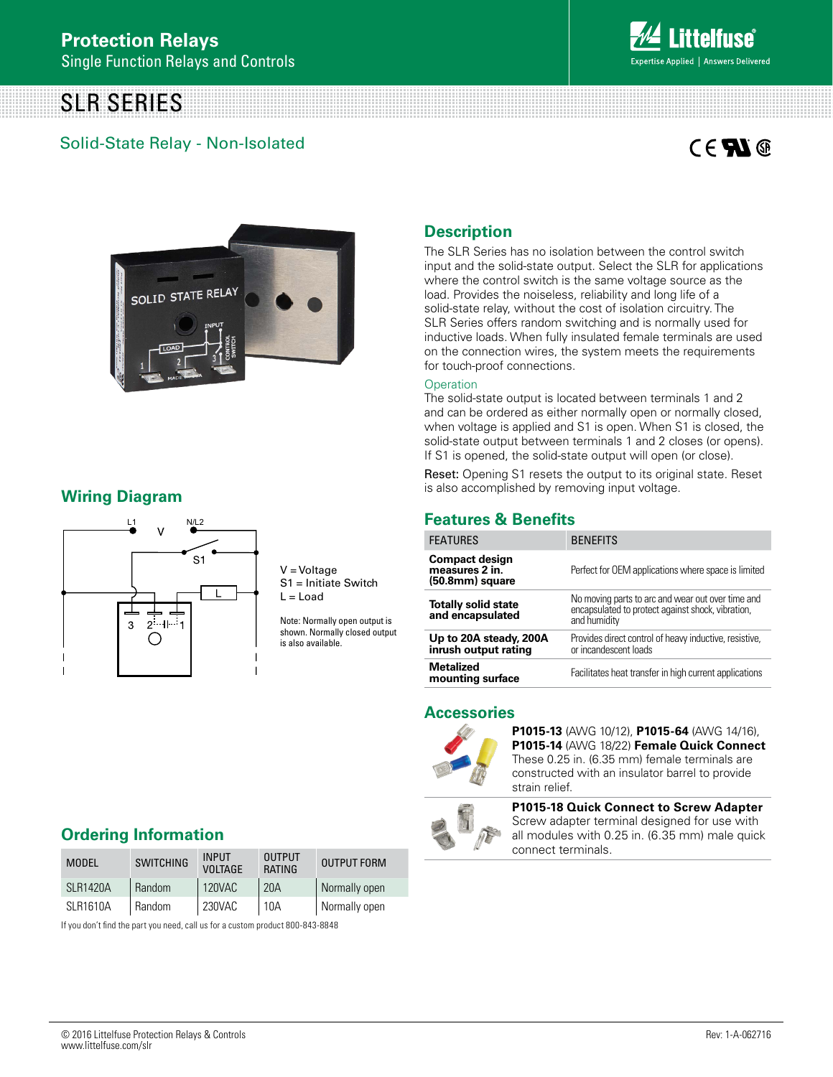# SLR SERIES

# Solid-State Relay - Non-Isolated



# $C \in \mathbf{N}$



## **Wiring Diagram**



V = Voltage S1 = Initiate Switch  $L =$  Load

Note: Normally open output is shown. Normally closed output is also available.

### **Description**

The SLR Series has no isolation between the control switch input and the solid-state output. Select the SLR for applications where the control switch is the same voltage source as the load. Provides the noiseless, reliability and long life of a solid-state relay, without the cost of isolation circuitry. The SLR Series offers random switching and is normally used for inductive loads. When fully insulated female terminals are used on the connection wires, the system meets the requirements for touch-proof connections.

#### **Operation**

The solid-state output is located between terminals 1 and 2 and can be ordered as either normally open or normally closed, when voltage is applied and S1 is open. When S1 is closed, the solid-state output between terminals 1 and 2 closes (or opens). If S1 is opened, the solid-state output will open (or close).

Reset: Opening S1 resets the output to its original state. Reset is also accomplished by removing input voltage.

### **Features & Benefits**

| <b>FEATURES</b>                                            | <b>BENEFITS</b>                                                                                                        |
|------------------------------------------------------------|------------------------------------------------------------------------------------------------------------------------|
| <b>Compact design</b><br>measures 2 in.<br>(50.8mm) square | Perfect for OEM applications where space is limited                                                                    |
| <b>Totally solid state</b><br>and encapsulated             | No moving parts to arc and wear out over time and<br>encapsulated to protect against shock, vibration,<br>and humidity |
| Up to 20A steady, 200A<br>inrush output rating             | Provides direct control of heavy inductive, resistive,<br>or incandescent loads                                        |
| <b>Metalized</b><br>mounting surface                       | Facilitates heat transfer in high current applications                                                                 |

#### **Accessories**



**P1015-13** (AWG 10/12), **P1015-64** (AWG 14/16), **P1015-14** (AWG 18/22) **Female Quick Connect** These 0.25 in. (6.35 mm) female terminals are constructed with an insulator barrel to provide strain relief.



**P1015-18 Quick Connect to Screw Adapter** Screw adapter terminal designed for use with all modules with 0.25 in. (6.35 mm) male quick connect terminals.

# **Ordering Information**

| <b>MODEL</b>    | <b>SWITCHING</b> | <b>INPUT</b><br><b>VOLTAGE</b> | <b>OUTPUT</b><br>RATING | <b>OUTPUT FORM</b> |
|-----------------|------------------|--------------------------------|-------------------------|--------------------|
| SI R1420A       | Random           | 120VAC                         | 20A                     | Normally open      |
| <b>SLR1610A</b> | Random           | 230VAC                         | 10A                     | Normally open      |

If you don't find the part you need, call us for a custom product 800-843-8848